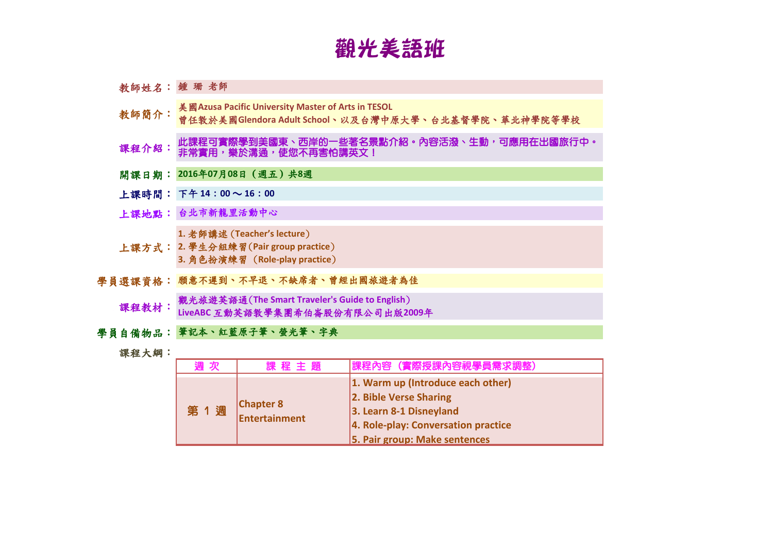## 觀光美語班

| 教師姓名: 鍾 珊 老師 |                                                                                                             |  |  |
|--------------|-------------------------------------------------------------------------------------------------------------|--|--|
| 教師簡介:        | 美國 Azusa Pacific University Master of Arts in TESOL<br>曾任教於美國Glendora Adult School、以及台灣中原大學、台北基督學院、華北神學院等學校 |  |  |
| 課程介紹:        | 此課程可實際學到美國東、西岸的一些著名景點介紹。內容活潑、生動,可應用在出國旅行中。<br>非常實用,樂於溝通,使您不再害怕講英文!                                          |  |  |
|              | 開課日期: 2016年07月08日 (週五) 共8週                                                                                  |  |  |
|              | 上課時間: 下午14:00~16:00                                                                                         |  |  |
|              | 上課地點: 台北市新龍里活動中心                                                                                            |  |  |
|              | 1. 老師講述 (Teacher's lecture)<br>上課方式: 2. 學生分組練習(Pair group practice)<br>3. 角色扮演練習 (Role-play practice)       |  |  |
|              | 學員選課資格:願意不遲到、不早退、不缺席者、曾經出國旅遊者為佳                                                                             |  |  |
| 課程教材:        | 觀光旅遊英語通(The Smart Traveler's Guide to English)<br>LiveABC 互動英語教學集團希伯崙股份有限公司出版2009年                          |  |  |
|              | 學員自備物品:筆記本、紅藍原子筆、螢光筆、字典                                                                                     |  |  |

課程大綱:

| 週次  | 課程主題                              | 課程內容 (實際授課內容視學員需求調整)                                                                                                                                           |
|-----|-----------------------------------|----------------------------------------------------------------------------------------------------------------------------------------------------------------|
| 第1週 | <b>Chapter 8</b><br>Entertainment | 1. Warm up (Introduce each other)<br>2. Bible Verse Sharing<br>3. Learn 8-1 Disneyland<br>4. Role-play: Conversation practice<br>5. Pair group: Make sentences |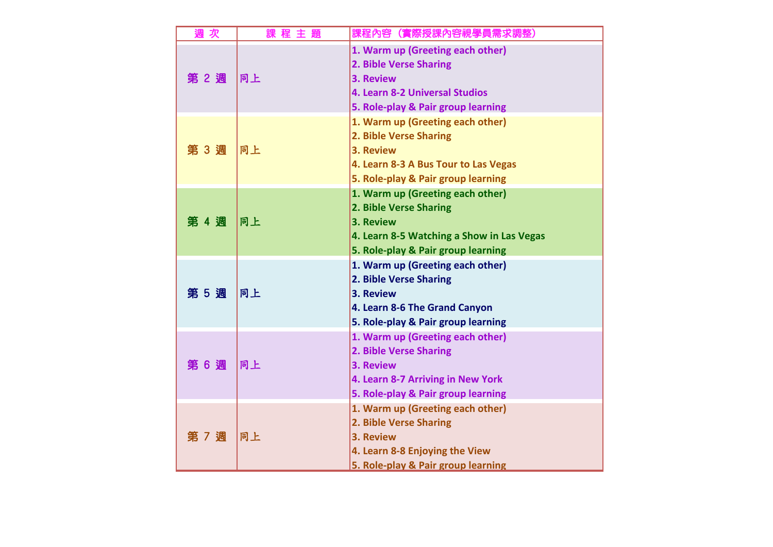| 週次    | 課程主題 | 課程內容(實際授課內容視學員需求調整)                                                                                                                                        |
|-------|------|------------------------------------------------------------------------------------------------------------------------------------------------------------|
| 第 2 週 | 同上   | 1. Warm up (Greeting each other)<br>2. Bible Verse Sharing<br>3. Review<br>4. Learn 8-2 Universal Studios<br>5. Role-play & Pair group learning            |
| 第 3 週 | 同上   | 1. Warm up (Greeting each other)<br>2. Bible Verse Sharing<br>3. Review<br>4. Learn 8-3 A Bus Tour to Las Vegas<br>5. Role-play & Pair group learning      |
| 第 4 週 | 同上   | 1. Warm up (Greeting each other)<br>2. Bible Verse Sharing<br>3. Review<br>4. Learn 8-5 Watching a Show in Las Vegas<br>5. Role-play & Pair group learning |
| 第 5 週 | 同上   | 1. Warm up (Greeting each other)<br>2. Bible Verse Sharing<br>3. Review<br>4. Learn 8-6 The Grand Canyon<br>5. Role-play & Pair group learning             |
| 第 6 週 | 同上   | 1. Warm up (Greeting each other)<br>2. Bible Verse Sharing<br>3. Review<br>4. Learn 8-7 Arriving in New York<br>5. Role-play & Pair group learning         |
| 第 7 週 | 同上   | 1. Warm up (Greeting each other)<br>2. Bible Verse Sharing<br>3. Review<br>4. Learn 8-8 Enjoying the View<br>5. Role-play & Pair group learning            |